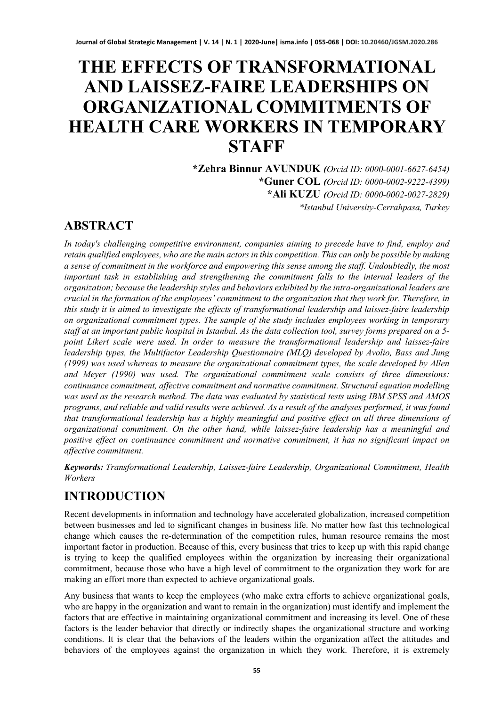# **THE EFFECTS OF TRANSFORMATIONAL AND LAISSEZ-FAIRE LEADERSHIPS ON ORGANIZATIONAL COMMITMENTS OF HEALTH CARE WORKERS IN TEMPORARY STAFF**

**\*Zehra Binnur AVUNDUK** *(Orcid ID: 0000-0001-6627-6454)* **\*Guner COL** *(Orcid ID: 0000-0002-9222-4399)* **\*Ali KUZU** *(Orcid ID: 0000-0002-0027-2829) \*Istanbul University-Cerrahpasa, Turkey* 

### **ABSTRACT**

*In today's challenging competitive environment, companies aiming to precede have to find, employ and retain qualified employees, who are the main actors in this competition. This can only be possible by making a sense of commitment in the workforce and empowering this sense among the staff. Undoubtedly, the most important task in establishing and strengthening the commitment falls to the internal leaders of the organization; because the leadership styles and behaviors exhibited by the intra-organizational leaders are crucial in the formation of the employees' commitment to the organization that they work for. Therefore, in this study it is aimed to investigate the effects of transformational leadership and laissez-faire leadership on organizational commitment types. The sample of the study includes employees working in temporary staff at an important public hospital in Istanbul. As the data collection tool, survey forms prepared on a 5 point Likert scale were used. In order to measure the transformational leadership and laissez-faire leadership types, the Multifactor Leadership Questionnaire (MLQ) developed by Avolio, Bass and Jung (1999) was used whereas to measure the organizational commitment types, the scale developed by Allen and Meyer (1990) was used. The organizational commitment scale consists of three dimensions: continuance commitment, affective commitment and normative commitment. Structural equation modelling was used as the research method. The data was evaluated by statistical tests using IBM SPSS and AMOS programs, and reliable and valid results were achieved. As a result of the analyses performed, it was found that transformational leadership has a highly meaningful and positive effect on all three dimensions of organizational commitment. On the other hand, while laissez-faire leadership has a meaningful and positive effect on continuance commitment and normative commitment, it has no significant impact on affective commitment.*

*Keywords: Transformational Leadership, Laissez-faire Leadership, Organizational Commitment, Health Workers*

# **INTRODUCTION**

Recent developments in information and technology have accelerated globalization, increased competition between businesses and led to significant changes in business life. No matter how fast this technological change which causes the re-determination of the competition rules, human resource remains the most important factor in production. Because of this, every business that tries to keep up with this rapid change is trying to keep the qualified employees within the organization by increasing their organizational commitment, because those who have a high level of commitment to the organization they work for are making an effort more than expected to achieve organizational goals.

Any business that wants to keep the employees (who make extra efforts to achieve organizational goals, who are happy in the organization and want to remain in the organization) must identify and implement the factors that are effective in maintaining organizational commitment and increasing its level. One of these factors is the leader behavior that directly or indirectly shapes the organizational structure and working conditions. It is clear that the behaviors of the leaders within the organization affect the attitudes and behaviors of the employees against the organization in which they work. Therefore, it is extremely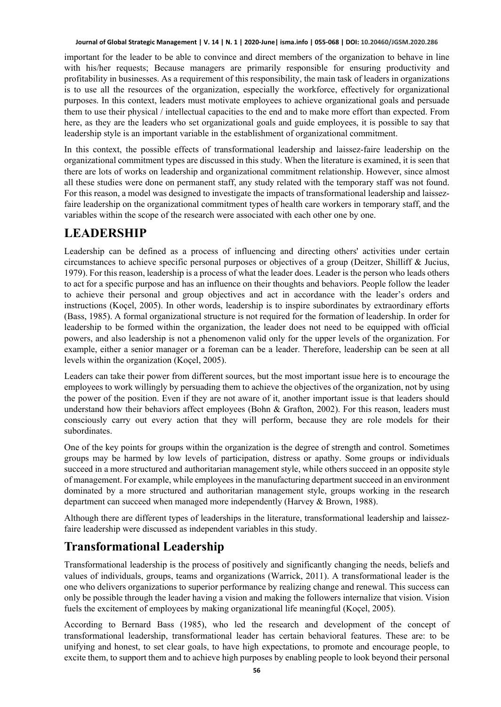important for the leader to be able to convince and direct members of the organization to behave in line with his/her requests; Because managers are primarily responsible for ensuring productivity and profitability in businesses. As a requirement of this responsibility, the main task of leaders in organizations is to use all the resources of the organization, especially the workforce, effectively for organizational purposes. In this context, leaders must motivate employees to achieve organizational goals and persuade them to use their physical / intellectual capacities to the end and to make more effort than expected. From here, as they are the leaders who set organizational goals and guide employees, it is possible to say that leadership style is an important variable in the establishment of organizational commitment.

In this context, the possible effects of transformational leadership and laissez-faire leadership on the organizational commitment types are discussed in this study. When the literature is examined, it is seen that there are lots of works on leadership and organizational commitment relationship. However, since almost all these studies were done on permanent staff, any study related with the temporary staff was not found. For this reason, a model was designed to investigate the impacts of transformational leadership and laissezfaire leadership on the organizational commitment types of health care workers in temporary staff, and the variables within the scope of the research were associated with each other one by one.

### **LEADERSHIP**

Leadership can be defined as a process of influencing and directing others' activities under certain circumstances to achieve specific personal purposes or objectives of a group (Deitzer, Shilliff & Jucius, 1979). For this reason, leadership is a process of what the leader does. Leader is the person who leads others to act for a specific purpose and has an influence on their thoughts and behaviors. People follow the leader to achieve their personal and group objectives and act in accordance with the leader's orders and instructions (Koçel, 2005). In other words, leadership is to inspire subordinates by extraordinary efforts (Bass, 1985). A formal organizational structure is not required for the formation of leadership. In order for leadership to be formed within the organization, the leader does not need to be equipped with official powers, and also leadership is not a phenomenon valid only for the upper levels of the organization. For example, either a senior manager or a foreman can be a leader. Therefore, leadership can be seen at all levels within the organization (Koçel, 2005).

Leaders can take their power from different sources, but the most important issue here is to encourage the employees to work willingly by persuading them to achieve the objectives of the organization, not by using the power of the position. Even if they are not aware of it, another important issue is that leaders should understand how their behaviors affect employees (Bohn & Grafton, 2002). For this reason, leaders must consciously carry out every action that they will perform, because they are role models for their subordinates.

One of the key points for groups within the organization is the degree of strength and control. Sometimes groups may be harmed by low levels of participation, distress or apathy. Some groups or individuals succeed in a more structured and authoritarian management style, while others succeed in an opposite style of management. For example, while employees in the manufacturing department succeed in an environment dominated by a more structured and authoritarian management style, groups working in the research department can succeed when managed more independently (Harvey & Brown, 1988).

Although there are different types of leaderships in the literature, transformational leadership and laissezfaire leadership were discussed as independent variables in this study.

# **Transformational Leadership**

Transformational leadership is the process of positively and significantly changing the needs, beliefs and values of individuals, groups, teams and organizations (Warrick, 2011). A transformational leader is the one who delivers organizations to superior performance by realizing change and renewal. This success can only be possible through the leader having a vision and making the followers internalize that vision. Vision fuels the excitement of employees by making organizational life meaningful (Koçel, 2005).

According to Bernard Bass (1985), who led the research and development of the concept of transformational leadership, transformational leader has certain behavioral features. These are: to be unifying and honest, to set clear goals, to have high expectations, to promote and encourage people, to excite them, to support them and to achieve high purposes by enabling people to look beyond their personal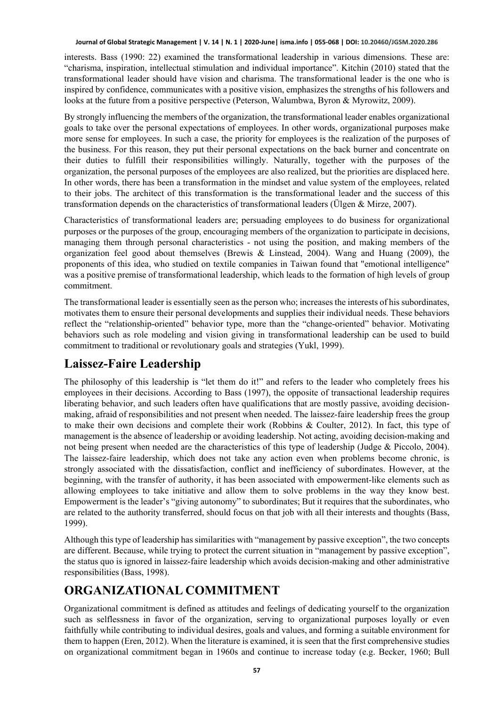interests. Bass (1990: 22) examined the transformational leadership in various dimensions. These are: "charisma, inspiration, intellectual stimulation and individual importance". Kitchin (2010) stated that the transformational leader should have vision and charisma. The transformational leader is the one who is inspired by confidence, communicates with a positive vision, emphasizes the strengths of his followers and looks at the future from a positive perspective (Peterson, Walumbwa, Byron & Myrowitz, 2009).

By strongly influencing the members of the organization, the transformational leader enables organizational goals to take over the personal expectations of employees. In other words, organizational purposes make more sense for employees. In such a case, the priority for employees is the realization of the purposes of the business. For this reason, they put their personal expectations on the back burner and concentrate on their duties to fulfill their responsibilities willingly. Naturally, together with the purposes of the organization, the personal purposes of the employees are also realized, but the priorities are displaced here. In other words, there has been a transformation in the mindset and value system of the employees, related to their jobs. The architect of this transformation is the transformational leader and the success of this transformation depends on the characteristics of transformational leaders (Ülgen & Mirze, 2007).

Characteristics of transformational leaders are; persuading employees to do business for organizational purposes or the purposes of the group, encouraging members of the organization to participate in decisions, managing them through personal characteristics - not using the position, and making members of the organization feel good about themselves (Brewis & Linstead, 2004). Wang and Huang (2009), the proponents of this idea, who studied on textile companies in Taiwan found that "emotional intelligence" was a positive premise of transformational leadership, which leads to the formation of high levels of group commitment.

The transformational leader is essentially seen as the person who; increases the interests of his subordinates, motivates them to ensure their personal developments and supplies their individual needs. These behaviors reflect the "relationship-oriented" behavior type, more than the "change-oriented" behavior. Motivating behaviors such as role modeling and vision giving in transformational leadership can be used to build commitment to traditional or revolutionary goals and strategies (Yukl, 1999).

### **Laissez-Faire Leadership**

The philosophy of this leadership is "let them do it!" and refers to the leader who completely frees his employees in their decisions. According to Bass (1997), the opposite of transactional leadership requires liberating behavior, and such leaders often have qualifications that are mostly passive, avoiding decisionmaking, afraid of responsibilities and not present when needed. The laissez-faire leadership frees the group to make their own decisions and complete their work (Robbins & Coulter, 2012). In fact, this type of management is the absence of leadership or avoiding leadership. Not acting, avoiding decision-making and not being present when needed are the characteristics of this type of leadership (Judge & Piccolo, 2004). The laissez-faire leadership, which does not take any action even when problems become chronic, is strongly associated with the dissatisfaction, conflict and inefficiency of subordinates. However, at the beginning, with the transfer of authority, it has been associated with empowerment-like elements such as allowing employees to take initiative and allow them to solve problems in the way they know best. Empowerment is the leader's "giving autonomy" to subordinates; But it requires that the subordinates, who are related to the authority transferred, should focus on that job with all their interests and thoughts (Bass, 1999).

Although this type of leadership has similarities with "management by passive exception", the two concepts are different. Because, while trying to protect the current situation in "management by passive exception", the status quo is ignored in laissez-faire leadership which avoids decision-making and other administrative responsibilities (Bass, 1998).

# **ORGANIZATIONAL COMMITMENT**

Organizational commitment is defined as attitudes and feelings of dedicating yourself to the organization such as selflessness in favor of the organization, serving to organizational purposes loyally or even faithfully while contributing to individual desires, goals and values, and forming a suitable environment for them to happen (Eren, 2012). When the literature is examined, it is seen that the first comprehensive studies on organizational commitment began in 1960s and continue to increase today (e.g. Becker, 1960; Bull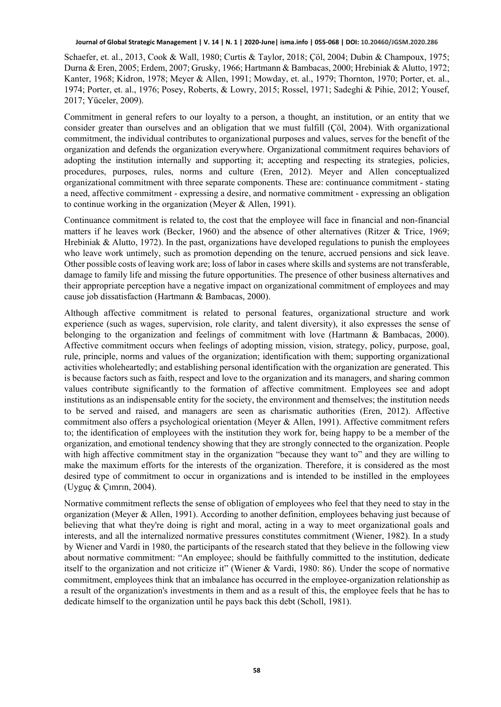Schaefer, et. al., 2013, Cook & Wall, 1980; Curtis & Taylor, 2018; Çöl, 2004; Dubin & Champoux, 1975; Durna & Eren, 2005; Erdem, 2007; Grusky, 1966; Hartmann & Bambacas, 2000; Hrebiniak & Alutto, 1972; Kanter, 1968; Kidron, 1978; Meyer & Allen, 1991; Mowday, et. al., 1979; Thornton, 1970; Porter, et. al., 1974; Porter, et. al., 1976; Posey, Roberts, & Lowry, 2015; Rossel, 1971; Sadeghi & Pihie, 2012; Yousef, 2017; Yüceler, 2009).

Commitment in general refers to our loyalty to a person, a thought, an institution, or an entity that we consider greater than ourselves and an obligation that we must fulfill (Çöl, 2004). With organizational commitment, the individual contributes to organizational purposes and values, serves for the benefit of the organization and defends the organization everywhere. Organizational commitment requires behaviors of adopting the institution internally and supporting it; accepting and respecting its strategies, policies, procedures, purposes, rules, norms and culture (Eren, 2012). Meyer and Allen conceptualized organizational commitment with three separate components. These are: continuance commitment - stating a need, affective commitment - expressing a desire, and normative commitment - expressing an obligation to continue working in the organization (Meyer & Allen, 1991).

Continuance commitment is related to, the cost that the employee will face in financial and non-financial matters if he leaves work (Becker, 1960) and the absence of other alternatives (Ritzer & Trice, 1969; Hrebiniak & Alutto, 1972). In the past, organizations have developed regulations to punish the employees who leave work untimely, such as promotion depending on the tenure, accrued pensions and sick leave. Other possible costs of leaving work are; loss of labor in cases where skills and systems are not transferable, damage to family life and missing the future opportunities. The presence of other business alternatives and their appropriate perception have a negative impact on organizational commitment of employees and may cause job dissatisfaction (Hartmann & Bambacas, 2000).

Although affective commitment is related to personal features, organizational structure and work experience (such as wages, supervision, role clarity, and talent diversity), it also expresses the sense of belonging to the organization and feelings of commitment with love (Hartmann & Bambacas, 2000). Affective commitment occurs when feelings of adopting mission, vision, strategy, policy, purpose, goal, rule, principle, norms and values of the organization; identification with them; supporting organizational activities wholeheartedly; and establishing personal identification with the organization are generated. This is because factors such as faith, respect and love to the organization and its managers, and sharing common values contribute significantly to the formation of affective commitment. Employees see and adopt institutions as an indispensable entity for the society, the environment and themselves; the institution needs to be served and raised, and managers are seen as charismatic authorities (Eren, 2012). Affective commitment also offers a psychological orientation (Meyer & Allen, 1991). Affective commitment refers to; the identification of employees with the institution they work for, being happy to be a member of the organization, and emotional tendency showing that they are strongly connected to the organization. People with high affective commitment stay in the organization "because they want to" and they are willing to make the maximum efforts for the interests of the organization. Therefore, it is considered as the most desired type of commitment to occur in organizations and is intended to be instilled in the employees (Uyguç & Çımrın, 2004).

Normative commitment reflects the sense of obligation of employees who feel that they need to stay in the organization (Meyer & Allen, 1991). According to another definition, employees behaving just because of believing that what they're doing is right and moral, acting in a way to meet organizational goals and interests, and all the internalized normative pressures constitutes commitment (Wiener, 1982). In a study by Wiener and Vardi in 1980, the participants of the research stated that they believe in the following view about normative commitment: "An employee; should be faithfully committed to the institution, dedicate itself to the organization and not criticize it" (Wiener & Vardi, 1980: 86). Under the scope of normative commitment, employees think that an imbalance has occurred in the employee-organization relationship as a result of the organization's investments in them and as a result of this, the employee feels that he has to dedicate himself to the organization until he pays back this debt (Scholl, 1981).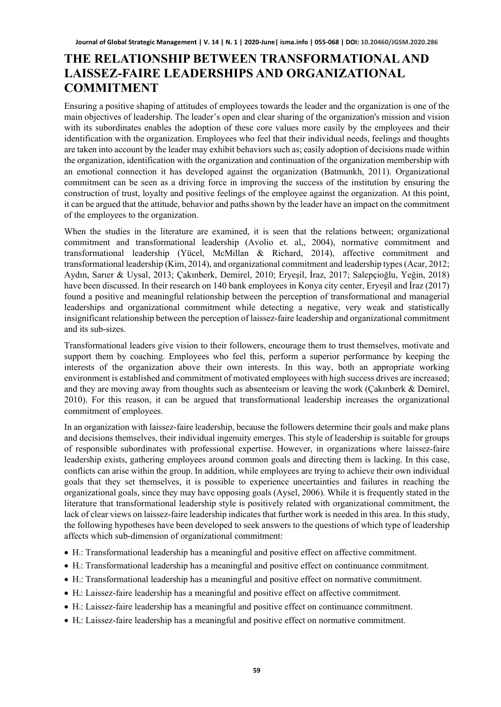### **THE RELATIONSHIP BETWEEN TRANSFORMATIONAL AND LAISSEZ-FAIRE LEADERSHIPS AND ORGANIZATIONAL COMMITMENT**

Ensuring a positive shaping of attitudes of employees towards the leader and the organization is one of the main objectives of leadership. The leader's open and clear sharing of the organization's mission and vision with its subordinates enables the adoption of these core values more easily by the employees and their identification with the organization. Employees who feel that their individual needs, feelings and thoughts are taken into account by the leader may exhibit behaviors such as; easily adoption of decisions made within the organization, identification with the organization and continuation of the organization membership with an emotional connection it has developed against the organization (Batmunkh, 2011). Organizational commitment can be seen as a driving force in improving the success of the institution by ensuring the construction of trust, loyalty and positive feelings of the employee against the organization. At this point, it can be argued that the attitude, behavior and paths shown by the leader have an impact on the commitment of the employees to the organization.

When the studies in the literature are examined, it is seen that the relations between; organizational commitment and transformational leadership (Avolio et. al,, 2004), normative commitment and transformational leadership (Yücel, McMillan & Richard, 2014), affective commitment and transformational leadership (Kim, 2014), and organizational commitment and leadership types (Acar, 2012; Aydın, Sarıer & Uysal, 2013; Çakınberk, Demirel, 2010; Eryeşil, İraz, 2017; Salepçioğlu, Yeğin, 2018) have been discussed. In their research on 140 bank employees in Konya city center, Eryeşil and İraz (2017) found a positive and meaningful relationship between the perception of transformational and managerial leaderships and organizational commitment while detecting a negative, very weak and statistically insignificant relationship between the perception of laissez-faire leadership and organizational commitment and its sub-sizes.

Transformational leaders give vision to their followers, encourage them to trust themselves, motivate and support them by coaching. Employees who feel this, perform a superior performance by keeping the interests of the organization above their own interests. In this way, both an appropriate working environment is established and commitment of motivated employees with high success drives are increased; and they are moving away from thoughts such as absenteeism or leaving the work (Çakınberk & Demirel, 2010). For this reason, it can be argued that transformational leadership increases the organizational commitment of employees.

In an organization with laissez-faire leadership, because the followers determine their goals and make plans and decisions themselves, their individual ingenuity emerges. This style of leadership is suitable for groups of responsible subordinates with professional expertise. However, in organizations where laissez-faire leadership exists, gathering employees around common goals and directing them is lacking. In this case, conflicts can arise within the group. In addition, while employees are trying to achieve their own individual goals that they set themselves, it is possible to experience uncertainties and failures in reaching the organizational goals, since they may have opposing goals (Aysel, 2006). While it is frequently stated in the literature that transformational leadership style is positively related with organizational commitment, the lack of clear views on laissez-faire leadership indicates that further work is needed in this area. In this study, the following hypotheses have been developed to seek answers to the questions of which type of leadership affects which sub-dimension of organizational commitment:

- H1: Transformational leadership has a meaningful and positive effect on affective commitment.
- H2: Transformational leadership has a meaningful and positive effect on continuance commitment.
- H3: Transformational leadership has a meaningful and positive effect on normative commitment.
- H4: Laissez-faire leadership has a meaningful and positive effect on affective commitment.
- H<sub>5</sub>: Laissez-faire leadership has a meaningful and positive effect on continuance commitment.
- H<sub>6</sub>: Laissez-faire leadership has a meaningful and positive effect on normative commitment.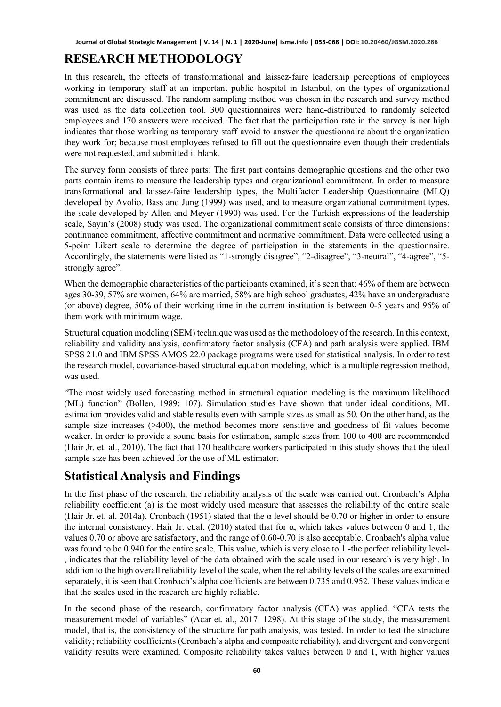### **RESEARCH METHODOLOGY**

In this research, the effects of transformational and laissez-faire leadership perceptions of employees working in temporary staff at an important public hospital in Istanbul, on the types of organizational commitment are discussed. The random sampling method was chosen in the research and survey method was used as the data collection tool. 300 questionnaires were hand-distributed to randomly selected employees and 170 answers were received. The fact that the participation rate in the survey is not high indicates that those working as temporary staff avoid to answer the questionnaire about the organization they work for; because most employees refused to fill out the questionnaire even though their credentials were not requested, and submitted it blank.

The survey form consists of three parts: The first part contains demographic questions and the other two parts contain items to measure the leadership types and organizational commitment. In order to measure transformational and laissez-faire leadership types, the Multifactor Leadership Questionnaire (MLQ) developed by Avolio, Bass and Jung (1999) was used, and to measure organizational commitment types, the scale developed by Allen and Meyer (1990) was used. For the Turkish expressions of the leadership scale, Sayın's (2008) study was used. The organizational commitment scale consists of three dimensions: continuance commitment, affective commitment and normative commitment. Data were collected using a 5-point Likert scale to determine the degree of participation in the statements in the questionnaire. Accordingly, the statements were listed as "1-strongly disagree", "2-disagree", "3-neutral", "4-agree", "5 strongly agree".

When the demographic characteristics of the participants examined, it's seen that; 46% of them are between ages 30-39, 57% are women, 64% are married, 58% are high school graduates, 42% have an undergraduate (or above) degree, 50% of their working time in the current institution is between 0-5 years and 96% of them work with minimum wage.

Structural equation modeling (SEM) technique was used as the methodology of the research. In this context, reliability and validity analysis, confirmatory factor analysis (CFA) and path analysis were applied. IBM SPSS 21.0 and IBM SPSS AMOS 22.0 package programs were used for statistical analysis. In order to test the research model, covariance-based structural equation modeling, which is a multiple regression method, was used.

"The most widely used forecasting method in structural equation modeling is the maximum likelihood (ML) function" (Bollen, 1989: 107). Simulation studies have shown that under ideal conditions, ML estimation provides valid and stable results even with sample sizes as small as 50. On the other hand, as the sample size increases (>400), the method becomes more sensitive and goodness of fit values become weaker. In order to provide a sound basis for estimation, sample sizes from 100 to 400 are recommended (Hair Jr. et. al., 2010). The fact that 170 healthcare workers participated in this study shows that the ideal sample size has been achieved for the use of ML estimator.

# **Statistical Analysis and Findings**

In the first phase of the research, the reliability analysis of the scale was carried out. Cronbach's Alpha reliability coefficient (a) is the most widely used measure that assesses the reliability of the entire scale (Hair Jr. et. al. 2014a). Cronbach (1951) stated that the  $\alpha$  level should be 0.70 or higher in order to ensure the internal consistency. Hair Jr. et.al. (2010) stated that for α, which takes values between 0 and 1, the values 0.70 or above are satisfactory, and the range of 0.60-0.70 is also acceptable. Cronbach's alpha value was found to be 0.940 for the entire scale. This value, which is very close to 1 -the perfect reliability level- , indicates that the reliability level of the data obtained with the scale used in our research is very high. In addition to the high overall reliability level of the scale, when the reliability levels of the scales are examined separately, it is seen that Cronbach's alpha coefficients are between 0.735 and 0.952. These values indicate that the scales used in the research are highly reliable.

In the second phase of the research, confirmatory factor analysis (CFA) was applied. "CFA tests the measurement model of variables" (Acar et. al., 2017: 1298). At this stage of the study, the measurement model, that is, the consistency of the structure for path analysis, was tested. In order to test the structure validity; reliability coefficients (Cronbach's alpha and composite reliability), and divergent and convergent validity results were examined. Composite reliability takes values between 0 and 1, with higher values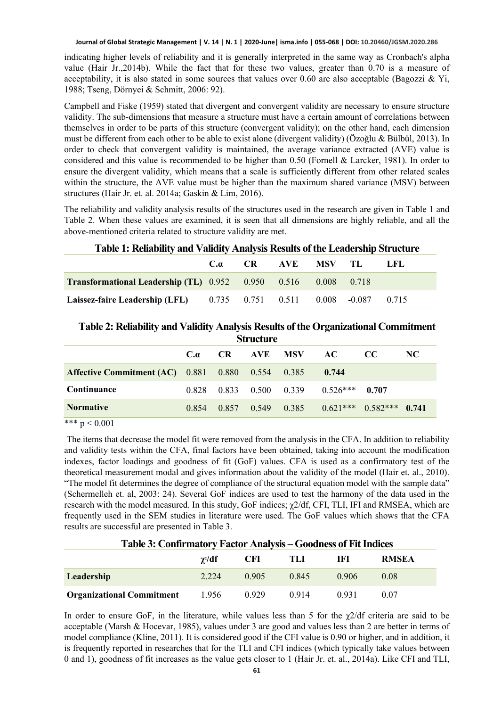indicating higher levels of reliability and it is generally interpreted in the same way as Cronbach's alpha value (Hair Jr.,2014b). While the fact that for these two values, greater than 0.70 is a measure of acceptability, it is also stated in some sources that values over 0.60 are also acceptable (Bagozzi & Yi, 1988; Tseng, Dörnyei & Schmitt, 2006: 92).

Campbell and Fiske (1959) stated that divergent and convergent validity are necessary to ensure structure validity. The sub-dimensions that measure a structure must have a certain amount of correlations between themselves in order to be parts of this structure (convergent validity); on the other hand, each dimension must be different from each other to be able to exist alone (divergent validity) (Özoğlu & Bülbül, 2013). In order to check that convergent validity is maintained, the average variance extracted (AVE) value is considered and this value is recommended to be higher than 0.50 (Fornell & Larcker, 1981). In order to ensure the divergent validity, which means that a scale is sufficiently different from other related scales within the structure, the AVE value must be higher than the maximum shared variance (MSV) between structures (Hair Jr. et. al. 2014a; Gaskin & Lim, 2016).

The reliability and validity analysis results of the structures used in the research are given in Table 1 and Table 2. When these values are examined, it is seen that all dimensions are highly reliable, and all the above-mentioned criteria related to structure validity are met.

| T ADIC 1. INTHADHITY AND VANDITY ANAlysis INISHITS OF THE LEAGUE SHIP SH RUTH C |  |  |                                    |  |  |      |
|---------------------------------------------------------------------------------|--|--|------------------------------------|--|--|------|
|                                                                                 |  |  | $C_{\alpha}$ $CR$ $AVE$ $MSV$ $TL$ |  |  | T.FL |
| <b>Transformational Leadership (TL)</b> $0.952$ $0.950$ $0.516$ $0.008$ $0.718$ |  |  |                                    |  |  |      |
| <b>Laissez-faire Leadership (LFL)</b> 0.735 0.751 0.511 0.008 -0.087 0.715      |  |  |                                    |  |  |      |

### **Table 1: Reliability and Validity Analysis Results of the Leadership Structure**

### **Table 2: Reliability and Validity Analysis Results of the Organizational Commitment**

| <b>Structure</b>                                         |            |             |                   |            |            |                             |     |
|----------------------------------------------------------|------------|-------------|-------------------|------------|------------|-----------------------------|-----|
|                                                          | $C_\alpha$ | CR.         | AVE               | <b>MSV</b> | AC.        | CC.                         | NC. |
| <b>Affective Commitment (AC)</b> 0.881 0.880 0.554 0.385 |            |             |                   |            | 0.744      |                             |     |
| Continuance                                              | 0.828      |             | 0.833 0.500 0.339 |            | $0.526***$ | 0.707                       |     |
| <b>Normative</b>                                         | 0.854      | 0.857 0.549 |                   | 0.385      |            | $0.621***$ $0.582***$ 0.741 |     |

\*\*\*  $p < 0.001$ 

The items that decrease the model fit were removed from the analysis in the CFA. In addition to reliability and validity tests within the CFA, final factors have been obtained, taking into account the modification indexes, factor loadings and goodness of fit (GoF) values. CFA is used as a confirmatory test of the theoretical measurement modal and gives information about the validity of the model (Hair et. al., 2010). "The model fit determines the degree of compliance of the structural equation model with the sample data" (Schermelleh et. al, 2003: 24). Several GoF indices are used to test the harmony of the data used in the research with the model measured. In this study, GoF indices; χ2/df, CFI, TLI, IFI and RMSEA, which are frequently used in the SEM studies in literature were used. The GoF values which shows that the CFA results are successful are presented in Table 3.

# $χ²/df$ **/df CFI TLI IFI RMSEA Leadership** 2.224 0.905 0.845 0.906 0.08 **Organizational Commitment** 1.956 0.929 0.914 0.931 0.07

#### **Table 3: Confirmatory Factor Analysis – Goodness of Fit Indices**

In order to ensure GoF, in the literature, while values less than 5 for the  $\chi$ 2/df criteria are said to be acceptable (Marsh & Hocevar, 1985), values under 3 are good and values less than 2 are better in terms of model compliance (Kline, 2011). It is considered good if the CFI value is 0.90 or higher, and in addition, it is frequently reported in researches that for the TLI and CFI indices (which typically take values between 0 and 1), goodness of fit increases as the value gets closer to 1 (Hair Jr. et. al., 2014a). Like CFI and TLI,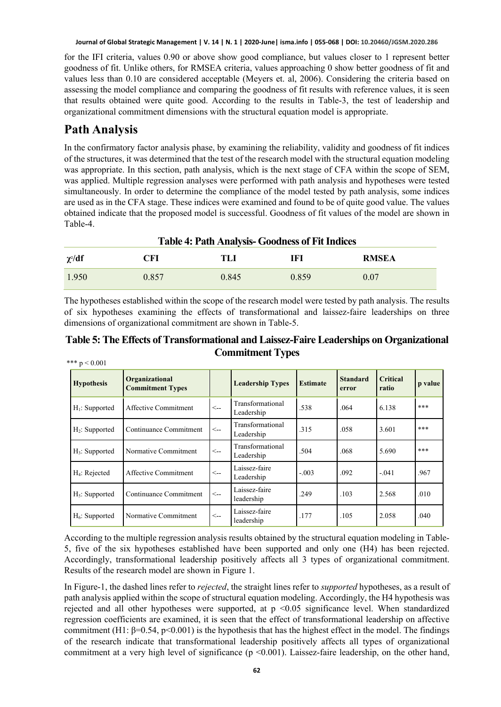for the IFI criteria, values 0.90 or above show good compliance, but values closer to 1 represent better goodness of fit. Unlike others, for RMSEA criteria, values approaching 0 show better goodness of fit and values less than 0.10 are considered acceptable (Meyers et. al, 2006). Considering the criteria based on assessing the model compliance and comparing the goodness of fit results with reference values, it is seen that results obtained were quite good. According to the results in Table-3, the test of leadership and organizational commitment dimensions with the structural equation model is appropriate.

### **Path Analysis**

In the confirmatory factor analysis phase, by examining the reliability, validity and goodness of fit indices of the structures, it was determined that the test of the research model with the structural equation modeling was appropriate. In this section, path analysis, which is the next stage of CFA within the scope of SEM, was applied. Multiple regression analyses were performed with path analysis and hypotheses were tested simultaneously. In order to determine the compliance of the model tested by path analysis, some indices are used as in the CFA stage. These indices were examined and found to be of quite good value. The values obtained indicate that the proposed model is successful. Goodness of fit values of the model are shown in Table-4.

| <b>Table 4: Path Analysis- Goodness of Fit Indices</b> |       |       |       |              |  |
|--------------------------------------------------------|-------|-------|-------|--------------|--|
| $\gamma$ <sup>2</sup> /df                              | CFI   | TLI   | IFI   | <b>RMSEA</b> |  |
| 1.950                                                  | 0.857 | 0.845 | 0.859 | 0.07         |  |

The hypotheses established within the scope of the research model were tested by path analysis. The results of six hypotheses examining the effects of transformational and laissez-faire leaderships on three dimensions of organizational commitment are shown in Table-5.

**Table 5: The Effects of Transformational and Laissez-Faire Leaderships on Organizational Commitment Types** \*\*\*  $p < 0.001$ 

| <b>Hypothesis</b> | Organizational<br><b>Commitment Types</b> |              | <b>Leadership Types</b>        | <b>Estimate</b> | <b>Standard</b><br>error | <b>Critical</b><br>ratio | p value |
|-------------------|-------------------------------------------|--------------|--------------------------------|-----------------|--------------------------|--------------------------|---------|
| $H_1$ : Supported | Affective Commitment                      | $\leftarrow$ | Transformational<br>Leadership | .538            | .064                     | 6.138                    | ***     |
| $H_2$ : Supported | Continuance Commitment                    | $\leftarrow$ | Transformational<br>Leadership | .315            | .058                     | 3.601                    | ***     |
| $H_3$ : Supported | Normative Commitment                      | $\lt_{\sim}$ | Transformational<br>Leadership | .504            | .068                     | 5.690                    | ***     |
| $H_4$ : Rejected  | Affective Commitment                      | $\lt-$       | Laissez-faire<br>Leadership    | $-.003$         | .092                     | $-.041$                  | .967    |
| $H_5$ : Supported | Continuance Commitment                    | $\leftarrow$ | Laissez-faire<br>leadership    | .249            | .103                     | 2.568                    | .010    |
| $H_6$ : Supported | Normative Commitment                      | $\lt-$       | Laissez-faire<br>leadership    | .177            | .105                     | 2.058                    | .040    |

According to the multiple regression analysis results obtained by the structural equation modeling in Table-5, five of the six hypotheses established have been supported and only one (H4) has been rejected. Accordingly, transformational leadership positively affects all 3 types of organizational commitment. Results of the research model are shown in Figure 1.

In Figure-1, the dashed lines refer to *rejected*, the straight lines refer to *supported* hypotheses, as a result of path analysis applied within the scope of structural equation modeling. Accordingly, the H4 hypothesis was rejected and all other hypotheses were supported, at p <0.05 significance level. When standardized regression coefficients are examined, it is seen that the effect of transformational leadership on affective commitment (H1: β=0.54, p<0.001) is the hypothesis that has the highest effect in the model. The findings of the research indicate that transformational leadership positively affects all types of organizational commitment at a very high level of significance ( $p \le 0.001$ ). Laissez-faire leadership, on the other hand,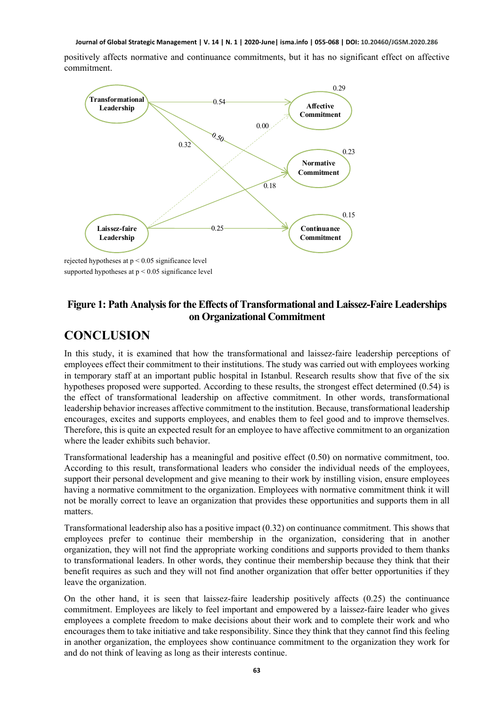positively affects normative and continuance commitments, but it has no significant effect on affective commitment.



supported hypotheses at p < 0.05 significance level

### **Figure 1: Path Analysis for the Effects of Transformational and Laissez-Faire Leaderships on Organizational Commitment**

### **CONCLUSION**

In this study, it is examined that how the transformational and laissez-faire leadership perceptions of employees effect their commitment to their institutions. The study was carried out with employees working in temporary staff at an important public hospital in Istanbul. Research results show that five of the six hypotheses proposed were supported. According to these results, the strongest effect determined (0.54) is the effect of transformational leadership on affective commitment. In other words, transformational leadership behavior increases affective commitment to the institution. Because, transformational leadership encourages, excites and supports employees, and enables them to feel good and to improve themselves. Therefore, this is quite an expected result for an employee to have affective commitment to an organization where the leader exhibits such behavior.

Transformational leadership has a meaningful and positive effect (0.50) on normative commitment, too. According to this result, transformational leaders who consider the individual needs of the employees, support their personal development and give meaning to their work by instilling vision, ensure employees having a normative commitment to the organization. Employees with normative commitment think it will not be morally correct to leave an organization that provides these opportunities and supports them in all matters.

Transformational leadership also has a positive impact (0.32) on continuance commitment. This shows that employees prefer to continue their membership in the organization, considering that in another organization, they will not find the appropriate working conditions and supports provided to them thanks to transformational leaders. In other words, they continue their membership because they think that their benefit requires as such and they will not find another organization that offer better opportunities if they leave the organization.

On the other hand, it is seen that laissez-faire leadership positively affects (0.25) the continuance commitment. Employees are likely to feel important and empowered by a laissez-faire leader who gives employees a complete freedom to make decisions about their work and to complete their work and who encourages them to take initiative and take responsibility. Since they think that they cannot find this feeling in another organization, the employees show continuance commitment to the organization they work for and do not think of leaving as long as their interests continue.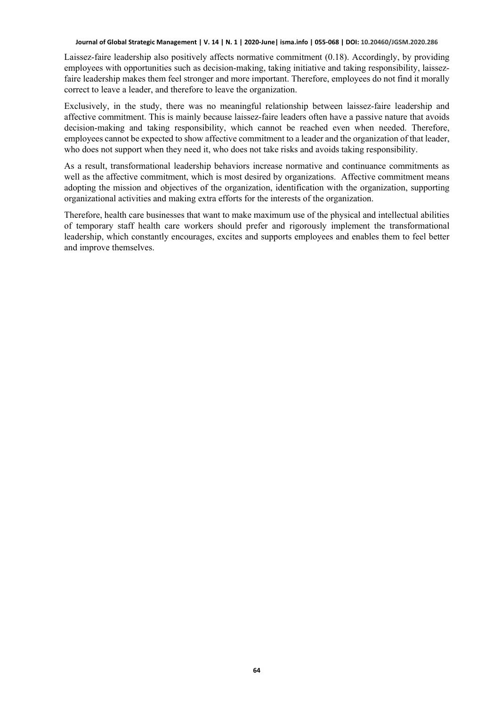Laissez-faire leadership also positively affects normative commitment (0.18). Accordingly, by providing employees with opportunities such as decision-making, taking initiative and taking responsibility, laissezfaire leadership makes them feel stronger and more important. Therefore, employees do not find it morally correct to leave a leader, and therefore to leave the organization.

Exclusively, in the study, there was no meaningful relationship between laissez-faire leadership and affective commitment. This is mainly because laissez-faire leaders often have a passive nature that avoids decision-making and taking responsibility, which cannot be reached even when needed. Therefore, employees cannot be expected to show affective commitment to a leader and the organization of that leader, who does not support when they need it, who does not take risks and avoids taking responsibility.

As a result, transformational leadership behaviors increase normative and continuance commitments as well as the affective commitment, which is most desired by organizations. Affective commitment means adopting the mission and objectives of the organization, identification with the organization, supporting organizational activities and making extra efforts for the interests of the organization.

Therefore, health care businesses that want to make maximum use of the physical and intellectual abilities of temporary staff health care workers should prefer and rigorously implement the transformational leadership, which constantly encourages, excites and supports employees and enables them to feel better and improve themselves.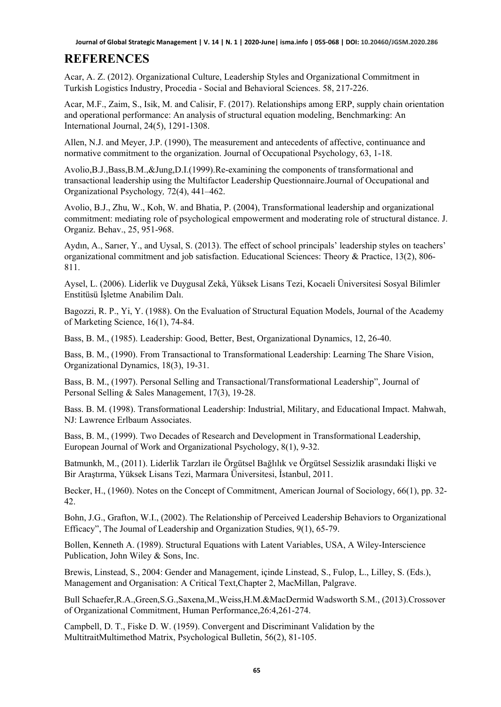# **REFERENCES**

Acar, A. Z. (2012). Organizational Culture, Leadership Styles and Organizational Commitment in Turkish Logistics Industry, Procedia - Social and Behavioral Sciences. 58, 217-226.

Acar, M.F., Zaim, S., Isik, M. and Calisir, F. (2017). Relationships among ERP, supply chain orientation and operational performance: An analysis of structural equation modeling, Benchmarking: An International Journal, 24(5), 1291-1308.

Allen, N.J. and Meyer, J.P. (1990), The measurement and antecedents of affective, continuance and normative commitment to the organization. Journal of Occupational Psychology, 63, 1-18.

Avolio,B.J.,Bass,B.M.,&Jung,D.I.(1999).Re-examining the components of transformational and transactional leadership using the Multifactor Leadership Questionnaire.Journal of Occupational and Organizational Psychology*,* 72(4), 441–462.

Avolio, B.J., Zhu, W., Koh, W. and Bhatia, P. (2004), Transformational leadership and organizational commitment: mediating role of psychological empowerment and moderating role of structural distance. J. Organiz. Behav., 25, 951-968.

Aydın, A., Sarıer, Y., and Uysal, S. (2013). The effect of school principals' leadership styles on teachers' organizational commitment and job satisfaction. Educational Sciences: Theory & Practice, 13(2), 806- 811.

Aysel, L. (2006). Liderlik ve Duygusal Zekâ, Yüksek Lisans Tezi, Kocaeli Üniversitesi Sosyal Bilimler Enstitüsü İşletme Anabilim Dalı.

Bagozzi, R. P., Yi, Y. (1988). On the Evaluation of Structural Equation Models, Journal of the Academy of Marketing Science, 16(1), 74-84.

Bass, B. M., (1985). Leadership: Good, Better, Best, Organizational Dynamics, 12, 26-40.

Bass, B. M., (1990). From Transactional to Transformational Leadership: Learning The Share Vision, Organizational Dynamics, 18(3), 19-31.

Bass, B. M., (1997). Personal Selling and Transactional/Transformational Leadership", Journal of Personal Selling & Sales Management, 17(3), 19-28.

Bass. B. M. (1998). Transformational Leadership: Industrial, Military, and Educational Impact. Mahwah, NJ: Lawrence Erlbaum Associates.

Bass, B. M., (1999). Two Decades of Research and Development in Transformational Leadership, European Journal of Work and Organizational Psychology, 8(1), 9-32.

Batmunkh, M., (2011). Liderlik Tarzları ile Örgütsel Bağlılık ve Örgütsel Sessizlik arasındaki İlişki ve Bir Araştırma, Yüksek Lisans Tezi, Marmara Üniversitesi, İstanbul, 2011.

Becker, H., (1960). Notes on the Concept of Commitment, American Journal of Sociology, 66(1), pp. 32- 42.

Bohn, J.G., Grafton, W.I., (2002). The Relationship of Perceived Leadership Behaviors to Organizational Efficacy", The Joumal of Leadership and Organization Studies, 9(1), 65-79.

Bollen, Kenneth A. (1989). Structural Equations with Latent Variables, USA, A Wiley-Interscience Publication, John Wiley & Sons, Inc.

Brewis, Linstead, S., 2004: Gender and Management, içinde Linstead, S., Fulop, L., Lilley, S. (Eds.), Management and Organisation: A Critical Text,Chapter 2, MacMillan, Palgrave.

Bull Schaefer,R.A.,Green,S.G.,Saxena,M.,Weiss,H.M.&MacDermid Wadsworth S.M., (2013).Crossover of Organizational Commitment, Human Performance,26:4,261-274.

Campbell, D. T., Fiske D. W. (1959). Convergent and Discriminant Validation by the MultitraitMultimethod Matrix, Psychological Bulletin, 56(2), 81-105.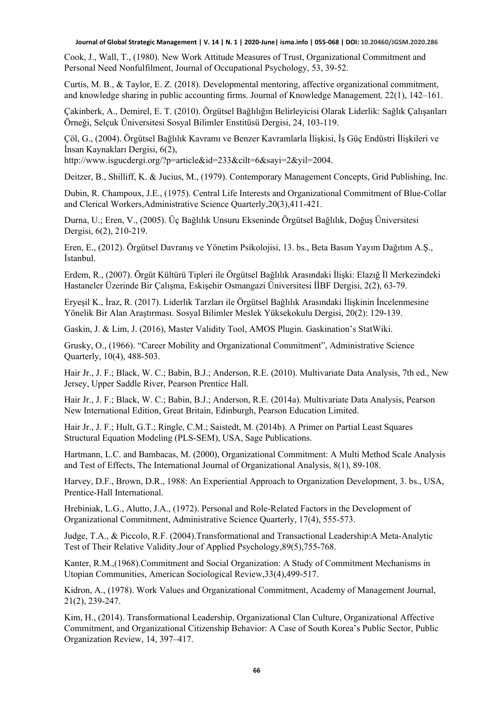Cook, J., Wall, T., (1980). New Work Attitude Measures of Trust, Organizational Commitment and Personal Need Nonfulfilment, Journal of Occupational Psychology, 53, 39-52.

Curtis, M. B., & Taylor, E. Z. (2018). Developmental mentoring, affective organizational commitment, and knowledge sharing in public accounting firms. Journal of Knowledge Management*,* 22(1), 142–161.

Çakinberk, A., Demirel, E. T. (2010). Örgütsel Bağlılığın Belirleyicisi Olarak Liderlik: Sağlık Çalışanları Örneği, Selçuk Üniversitesi Sosyal Bilimler Enstitüsü Dergisi, 24, 103-119.

Çöl, G., (2004). Örgütsel Bağlılık Kavramı ve Benzer Kavramlarla İlişkisi, İş Güç Endüstri İlişkileri ve İnsan Kaynakları Dergisi, 6(2),

http://www.isgucdergi.org/?p=article&id=233&cilt=6&sayi=2&yil=2004.

Deitzer, B., Shilliff, K. & Jucius, M., (1979). Contemporary Management Concepts, Grid Publishing, Inc.

Dubin, R. Champoux, J.E., (1975). Central Life Interests and Organizational Commitment of Blue-Collar and Clerical Workers,Administrative Science Quarterly,20(3),411-421.

Durna, U.; Eren, V., (2005). Üç Bağlılık Unsuru Ekseninde Örgütsel Bağlılık, Doğuş Üniversitesi Dergisi, 6(2), 210-219.

Eren, E., (2012). Örgütsel Davranış ve Yönetim Psikolojisi, 13. bs., Beta Basım Yayım Dağıtım A.Ş., İstanbul.

Erdem, R., (2007). Örgüt Kültürü Tipleri ile Örgütsel Bağlılık Arasındaki İlişki: Elazığ İl Merkezindeki Hastaneler Üzerinde Bir Çalışma, Eskişehir Osmangazi Üniversitesi İİBF Dergisi, 2(2), 63-79.

Eryeşil K., İraz, R. (2017). Liderlik Tarzları ile Örgütsel Bağlılık Arasındaki İlişkinin İncelenmesine Yönelik Bir Alan Araştırması. Sosyal Bilimler Meslek Yüksekokulu Dergisi, 20(2): 129-139.

Gaskin, J. & Lim, J. (2016), Master Validity Tool, AMOS Plugin. Gaskination's StatWiki.

Grusky, O., (1966). "Career Mobility and Organizational Commitment", Administrative Science Quarterly, 10(4), 488-503.

Hair Jr., J. F.; Black, W. C.; Babin, B.J.; Anderson, R.E. (2010). Multivariate Data Analysis, 7th ed., New Jersey, Upper Saddle River, Pearson Prentice Hall.

Hair Jr., J. F.; Black, W. C.; Babin, B.J.; Anderson, R.E. (2014a). Multivariate Data Analysis, Pearson New International Edition, Great Britain, Edinburgh, Pearson Education Limited.

Hair Jr., J. F.; Hult, G.T.; Ringle, C.M.; Saistedt, M. (2014b). A Primer on Partial Least Squares Structural Equation Modeling (PLS-SEM), USA, Sage Publications.

Hartmann, L.C. and Bambacas, M. (2000), Organizational Commitment: A Multi Method Scale Analysis and Test of Effects, The International Journal of Organizational Analysis, 8(1), 89-108.

Harvey, D.F., Brown, D.R., 1988: An Experiential Approach to Organization Development, 3. bs., USA, Prentice-Hall International.

Hrebiniak, L.G., Alutto, J.A., (1972). Personal and Role-Related Factors in the Development of Organizational Commitment, Administrative Science Quarterly, 17(4), 555-573.

Judge, T.A., & Piccolo, R.F. (2004).Transformational and Transactional Leadership:A Meta-Analytic Test of Their Relative Validity.Jour of Applied Psychology,89(5),755-768.

Kanter, R.M.,(1968).Commitment and Social Organization: A Study of Commitment Mechanisms in Utopian Communities, American Sociological Review,33(4),499-517.

Kidron, A., (1978). Work Values and Organizational Commitment, Academy of Management Journal, 21(2), 239-247.

Kim, H., (2014). Transformational Leadership, Organizational Clan Culture, Organizational Affective Commitment, and Organizational Citizenship Behavior: A Case of South Korea's Public Sector, Public Organization Review, 14, 397–417.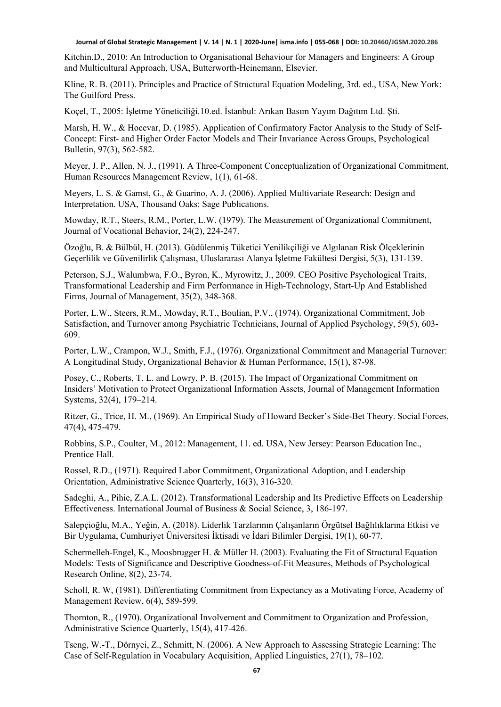Kitchin,D., 2010: An Introduction to Organisational Behaviour for Managers and Engineers: A Group and Multicultural Approach, USA, Butterworth-Heinemann, Elsevier.

Kline, R. B. (2011). Principles and Practice of Structural Equation Modeling, 3rd. ed., USA, New York: The Guilford Press.

Koçel, T., 2005: İşletme Yöneticiliği*.*10.ed. İstanbul: Arıkan Basım Yayım Dağıtım Ltd. Şti.

Marsh, H. W., & Hocevar, D. (1985). Application of Confirmatory Factor Analysis to the Study of Self-Concept: First- and Higher Order Factor Models and Their Invariance Across Groups, Psychological Bulletin, 97(3), 562-582.

Meyer, J. P., Allen, N. J., (1991). A Three-Component Conceptualization of Organizational Commitment, Human Resources Management Review, 1(1), 61-68.

Meyers, L. S. & Gamst, G., & Guarino, A. J. (2006). Applied Multivariate Research: Design and Interpretation. USA, Thousand Oaks: Sage Publications.

Mowday, R.T., Steers, R.M., Porter, L.W. (1979). The Measurement of Organizational Commitment, Journal of Vocational Behavior, 24(2), 224-247.

Özoğlu, B. & Bülbül, H. (2013). Güdülenmiş Tüketici Yenilikçiliği ve Algılanan Risk Ölçeklerinin Geçerlilik ve Güvenilirlik Çalışması, Uluslararası Alanya İşletme Fakültesi Dergisi, 5(3), 131-139.

Peterson, S.J., Walumbwa, F.O., Byron, K., Myrowitz, J., 2009. CEO Positive Psychological Traits, Transformational Leadership and Firm Performance in High-Technology, Start-Up And Established Firms, Journal of Management, 35(2), 348-368.

Porter, L.W., Steers, R.M., Mowday, R.T., Boulian, P.V., (1974). Organizational Commitment, Job Satisfaction, and Turnover among Psychiatric Technicians, Journal of Applied Psychology, 59(5), 603- 609.

Porter, L.W., Crampon, W.J., Smith, F.J., (1976). Organizational Commitment and Managerial Turnover: A Longitudinal Study, Organizational Behavior & Human Performance, 15(1), 87-98.

Posey, C., Roberts, T. L. and Lowry, P. B. (2015). The Impact of Organizational Commitment on Insiders' Motivation to Protect Organizational Information Assets, Journal of Management Information Systems, 32(4), 179–214.

Ritzer, G., Trice, H. M., (1969). An Empirical Study of Howard Becker's Side-Bet Theory. Social Forces, 47(4), 475-479.

Robbins, S.P., Coulter, M., 2012: Management, 11. ed. USA, New Jersey: Pearson Education Inc., Prentice Hall.

Rossel, R.D., (1971). Required Labor Commitment, Organizational Adoption, and Leadership Orientation, Administrative Science Quarterly, 16(3), 316-320.

Sadeghi, A., Pihie, Z.A.L. (2012). Transformational Leadership and Its Predictive Effects on Leadership Effectiveness. International Journal of Business & Social Science, 3, 186-197.

Salepçioğlu, M.A., Yeğin, A. (2018). Liderlik Tarzlarının Çalışanların Örgütsel Bağlılıklarına Etkisi ve Bir Uygulama, Cumhuriyet Üniversitesi İktisadi ve İdari Bilimler Dergisi, 19(1), 60-77.

Schermelleh-Engel, K., Moosbrugger H. & Müller H. (2003). Evaluating the Fit of Structural Equation Models: Tests of Significance and Descriptive Goodness-of-Fit Measures, Methods of Psychological Research Online, 8(2), 23-74.

Scholl, R. W, (1981). Differentiating Commitment from Expectancy as a Motivating Force, Academy of Management Review, 6(4), 589-599.

Thornton, R., (1970). Organizational Involvement and Commitment to Organization and Profession, Administrative Science Quarterly, 15(4), 417-426.

Tseng, W.-T., Dörnyei, Z., Schmitt, N. (2006). A New Approach to Assessing Strategic Learning: The Case of Self-Regulation in Vocabulary Acquisition, Applied Linguistics, 27(1), 78–102.